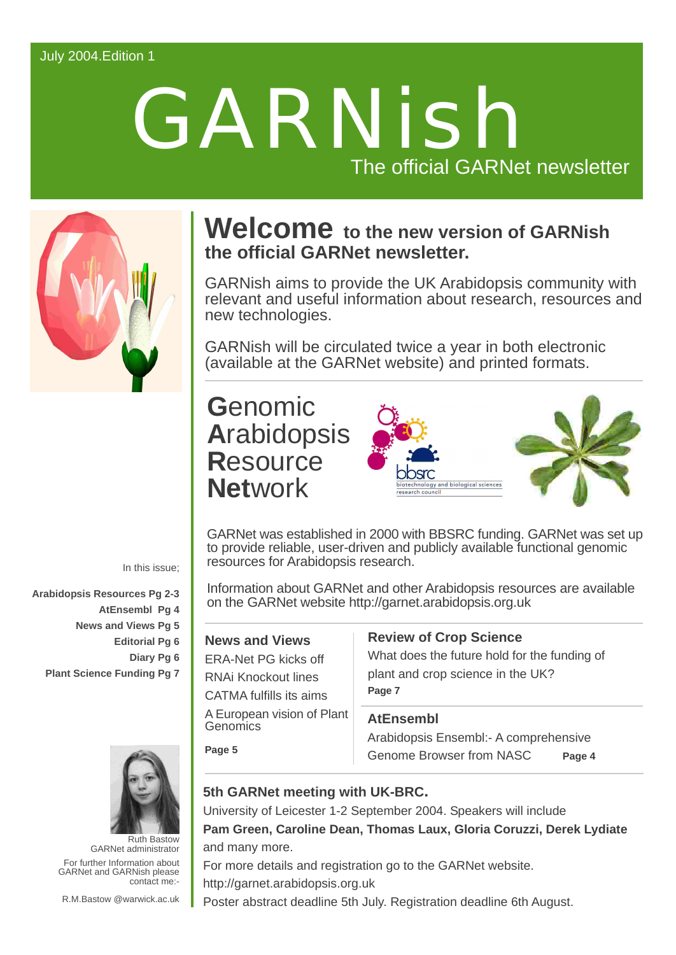# July 2004.Edition 1

# GARNish The official GARNet newsletter



# **Welcome to the new version of GARNish the official GARNet newsletter.**

GARNish aims to provide the UK Arabidopsis community with relevant and useful information about research, resources and new technologies.

GARNish will be circulated twice a year in both electronic (available at the GARNet website) and printed formats.

# **G**enomic **A**rabidopsis **R**esource **Net**work





GARNet was established in 2000 with BBSRC funding. GARNet was set up to provide reliable, user-driven and publicly available functional genomic resources for Arabidopsis research.

Information about GARNet and other Arabidopsis resources are available on the GARNet website<http://garnet.arabidopsis.org.uk>

# **News and Views**

**Page 5**

ERA-Net PG kicks off RNAi Knockout lines CATMA fulfills its aims A European vision of Plant **Genomics** 

# **Review of Crop Science**

What does the future hold for the funding of plant and crop science in the UK? **Page 7**

# **AtEnsembl**

Arabidopsis Ensembl:- A comprehensive Genome Browser from NASC **Page 4**

# **5th GARNet meeting with UK-BRC.**

University of Leicester 1-2 September 2004. Speakers will include **Pam Green, Caroline Dean, Thomas Laux, Gloria Coruzzi, Derek Lydiate** and many more.

For more details and registration go to the GARNet website. <http://garnet.arabidopsis.org.uk>

In this issue;

**Arabidopsis Resources Pg 2-3 AtEnsembl Pg 4 News and Views Pg 5 Editorial Pg 6 Diary Pg 6 Plant Science Funding Pg 7**



For further Information about GARNet and GARNish please contact me:- Ruth Bastow GARNet administrator

R.M.Bastow @warwick.ac.uk

Poster abstract deadline 5th July. Registration deadline 6th August.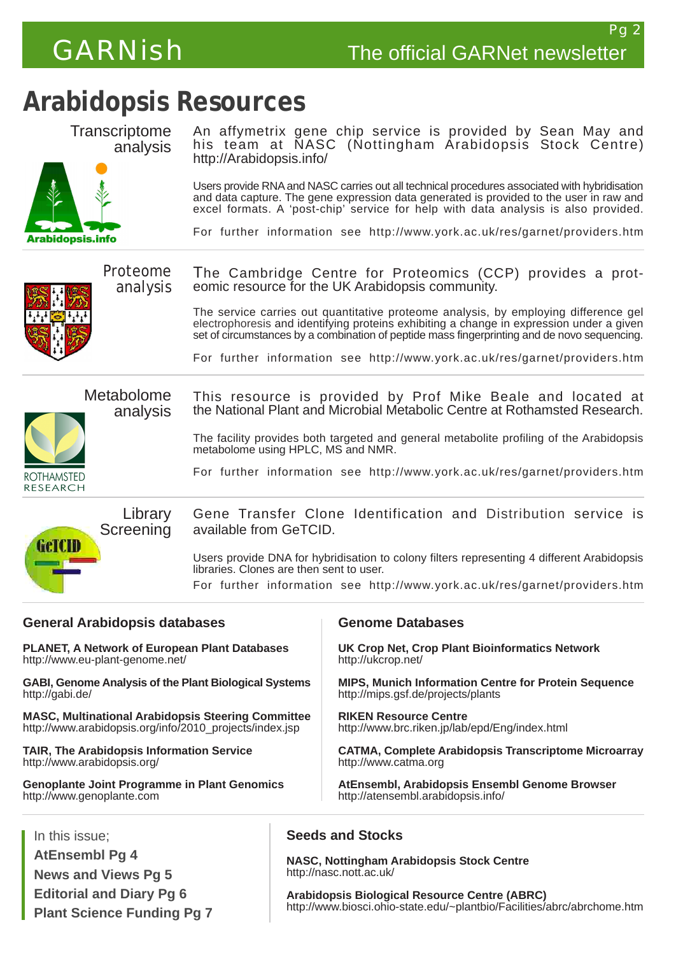

**Transcriptome** 

Pg 2

# **Arabidopsis Resources**



An affymetrix gene chip service is provided by Sean May and his team at NASC (Nottingham Arabidopsis Stock Centre) <http://Arabidopsis.info/>

Users provide RNA and NASC carries out all technical procedures associated with hybridisation and data capture. The gene expression data generated is provided to the user in raw and excel formats. A 'post-chip' service for help with data analysis is also provided.

For further information see <http://www.york.ac.uk/res/garnet/providers.htm>



Proteome analysis The Cambridge Centre for Proteomics (CCP) provides a proteomic resource for the UK Arabidopsis community.

> The service carries out quantitative proteome analysis, by employing difference gel electrophoresis and identifying proteins exhibiting a change in expression under a given set of circumstances by a combination of peptide mass fingerprinting and de novo sequencing.

> For further information see <http://www.york.ac.uk/res/garnet/providers.htm>



analysis This resource is provided by Prof Mike Beale and located at the National Plant and Microbial Metabolic Centre at Rothamsted Research.

> The facility provides both targeted and general metabolite profiling of the Arabidopsis metabolome using HPLC, MS and NMR.

> For further information see <http://www.york.ac.uk/res/garnet/providers.htm>



Gene Transfer Clone Identification and Distribution service is available from GeTCID.

Users provide DNA for hybridisation to colony filters representing 4 different Arabidopsis libraries. Clones are then sent to user.

For further information see <http://www.york.ac.uk/res/garnet/providers.htm>

### **General Arabidopsis databases PLANET, A Network of European Plant Databases** <http://www.eu-plant-genome.net/> **GABI, Genome Analysis of the Plant Biological Systems** <http://gabi.de/> **MASC, Multinational Arabidopsis Steering Committee** [http://www.arabidopsis.org/info/2010\\_projects/index.jsp](http://www.arabidopsis.org/info/2010_projects/index.jsp) **TAIR, The Arabidopsis Information Service** <http://www.arabidopsis.org/> **Genoplante Joint Programme in Plant Genomics** <http://www.genoplante.com> **Genome Databases UK Crop Net, Crop Plant Bioinformatics Network** <http://ukcrop.net/> **MIPS, Munich Information Centre for Protein Sequence** <http://mips.gsf.de/projects/plants> **RIKEN Resource Centre** <http://www.brc.riken.jp/lab/epd/Eng/index.html> **CATMA, Complete Arabidopsis Transcriptome Microarray** <http://www.catma.org> **AtEnsembl, Arabidopsis Ensembl Genome Browser** <http://atensembl.arabidopsis.info/> In this issue;

**AtEnsembl Pg 4 News and Views Pg 5**

**Editorial and Diary Pg 6 Plant Science Funding Pg 7**

# **Seeds and Stocks**

**NASC, Nottingham Arabidopsis Stock Centre** <http://nasc.nott.ac.uk/>

**Arabidopsis Biological Resource Centre (ABRC)** <http://www.biosci.ohio-state.edu/~plantbio/Facilities/abrc/abrchome.htm>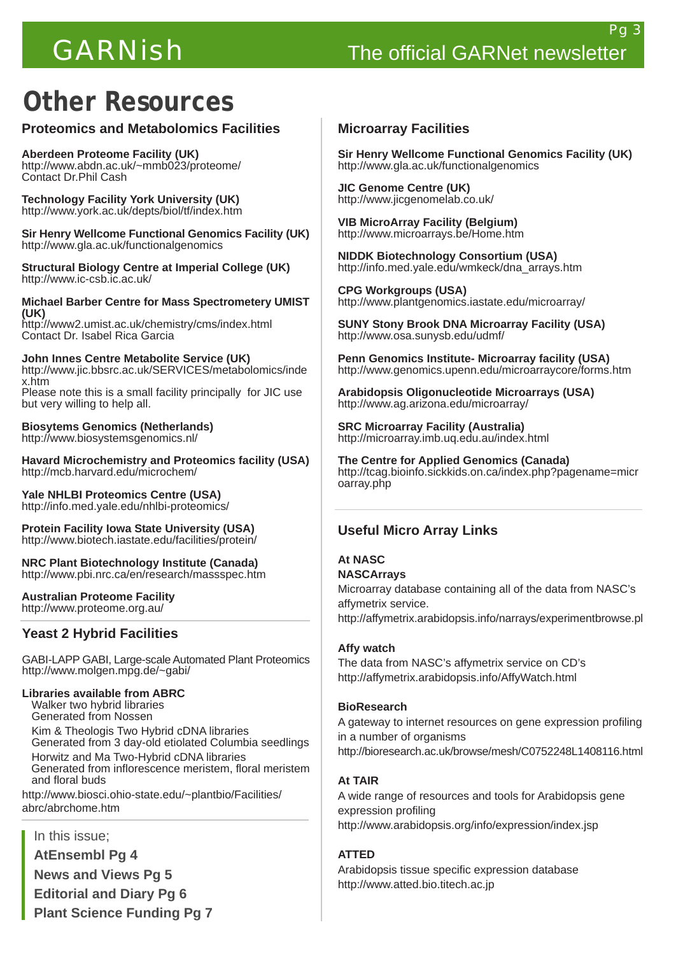# **Other Resources**

# **Proteomics and Metabolomics Facilities**

**Aberdeen Proteome Facility (UK)** <http://www.abdn.ac.uk/~mmb023/proteome/> Contact Dr.Phil Cash

**Technology Facility York University (UK)** <http://www.york.ac.uk/depts/biol/tf/index.htm>

**Sir Henry Wellcome Functional Genomics Facility (UK)** <http://www.gla.ac.uk/functionalgenomics>

**Structural Biology Centre at Imperial College (UK)** <http://www.ic-csb.ic.ac.uk/>

**Michael Barber Centre for Mass Spectrometery UMIST (UK)** <http://www2.umist.ac.uk/chemistry/cms/index.html>

Contact Dr. Isabel Rica Garcia

**John Innes Centre Metabolite Service (UK)** <http://www.jic.bbsrc.ac.uk/SERVICES/metabolomics/inde> x.htm Please note this is a small facility principally for JIC use

but very willing to help all.

**Biosytems Genomics (Netherlands)** <http://www.biosystemsgenomics.nl/>

**Havard Microchemistry and Proteomics facility (USA)** <http://mcb.harvard.edu/microchem/>

**Yale NHLBI Proteomics Centre (USA)** <http://info.med.yale.edu/nhlbi-proteomics/>

**Protein Facility Iowa State University (USA)** <http://www.biotech.iastate.edu/facilities/protein/>

**NRC Plant Biotechnology Institute (Canada)** <http://www.pbi.nrc.ca/en/research/massspec.htm>

**Australian Proteome Facility** <http://www.proteome.org.au/>

# **Yeast 2 Hybrid Facilities**

GABI-LAPP GABI, Large-scale Automated Plant Proteomics <http://www.molgen.mpg.de/~gabi/>

### **Libraries available from ABRC**

 Walker two hybrid libraries Generated from Nossen

 Kim & Theologis Two Hybrid cDNA libraries Generated from 3 day-old etiolated Columbia seedlings Horwitz and Ma Two-Hybrid cDNA libraries Generated from inflorescence meristem, floral meristem and floral buds

<http://www.biosci.ohio-state.edu/~plantbio/Facilities/> abrc/abrchome.htm

# In this issue;

**AtEnsembl Pg 4 News and Views Pg 5 Editorial and Diary Pg 6 Plant Science Funding Pg 7**

### **Microarray Facilities**

**Sir Henry Wellcome Functional Genomics Facility (UK)** <http://www.gla.ac.uk/functionalgenomics>

**JIC Genome Centre (UK)** <http://www.jicgenomelab.co.uk/>

**VIB MicroArray Facility (Belgium)** <http://www.microarrays.be/Home.htm>

**NIDDK Biotechnology Consortium (USA)** [http://info.med.yale.edu/wmkeck/dna\\_arrays.htm](http://info.med.yale.edu/wmkeck/dna_arrays.htm)

**CPG Workgroups (USA)** <http://www.plantgenomics.iastate.edu/microarray/>

**SUNY Stony Brook DNA Microarray Facility (USA)** <http://www.osa.sunysb.edu/udmf/>

**Penn Genomics Institute- Microarray facility (USA)** <http://www.genomics.upenn.edu/microarraycore/forms.htm>

**Arabidopsis Oligonucleotide Microarrays (USA)** <http://www.ag.arizona.edu/microarray/>

**SRC Microarray Facility (Australia)** <http://microarray.imb.uq.edu.au/index.html>

**The Centre for Applied Genomics (Canada)** <http://tcag.bioinfo.sickkids.on.ca/index.php?pagename=micr> oarray.php

# **Useful Micro Array Links**

# **At NASC**

**NASCArrays** Microarray database containing all of the data from NASC's affymetrix service. <http://affymetrix.arabidopsis.info/narrays/experimentbrowse.pl>

### **Affy watch**

The data from NASC's affymetrix service on CD's <http://affymetrix.arabidopsis.info/AffyWatch.html>

### **BioResearch**

A gateway to internet resources on gene expression profiling in a number of organisms <http://bioresearch.ac.uk/browse/mesh/C0752248L1408116.html>

### **At TAIR**

A wide range of resources and tools for Arabidopsis gene expression profiling <http://www.arabidopsis.org/info/expression/index.jsp>

# **ATTED**

Arabidopsis tissue specific expression database <http://www.atted.bio.titech.ac.jp>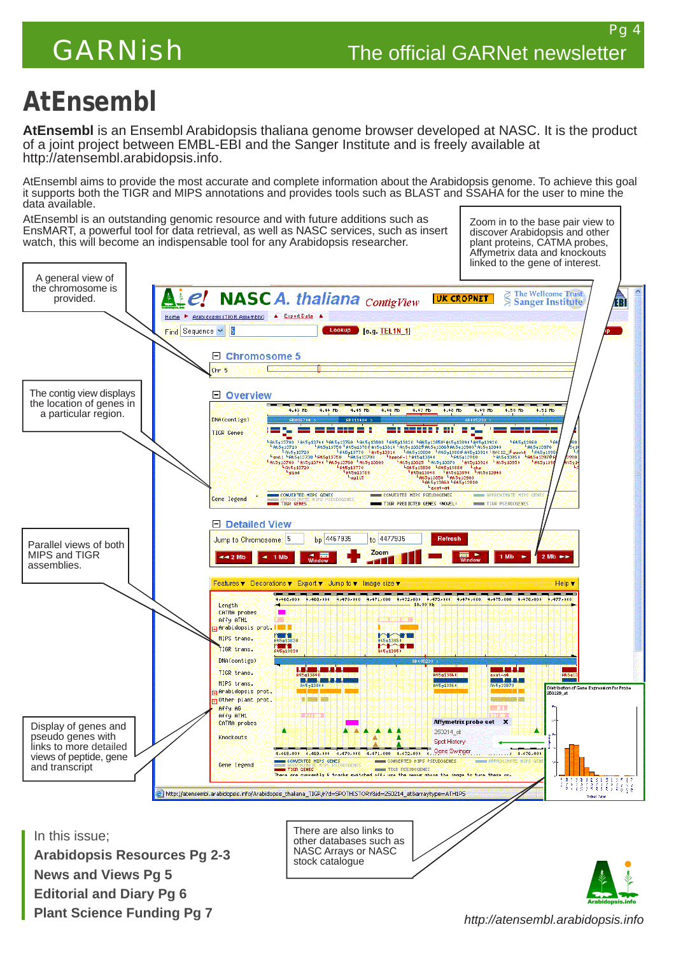# **AtEnsembl**

**AtEnsembl** is an Ensembl Arabidopsis thaliana genome browser developed at NASC. It is the product of a joint project between EMBL-EBI and the Sanger Institute and is freely available at [http://atensembl.arabidopsis.info.](http://atensembl.arabidopsis.info)

AtEnsembl aims to provide the most accurate and complete information about the Arabidopsis genome. To achieve this goal it supports both the TIGR and MIPS annotations and provides tools such as BLAST and SSAHA for the user to mine the data available.

AtEnsembl is an outstanding genomic resource and with future additions such as EnsMART, a powerful tool for data retrieval, as well as NASC services, such as insert watch, this will become an indispensable tool for any Arabidopsis researcher.

Zoom in to the base pair view to discover Arabidopsis and other plant proteins, CATMA probes, Affymetrix data and knockouts linked to the gene of interest.



*<http://atensembl.arabidopsis.info>*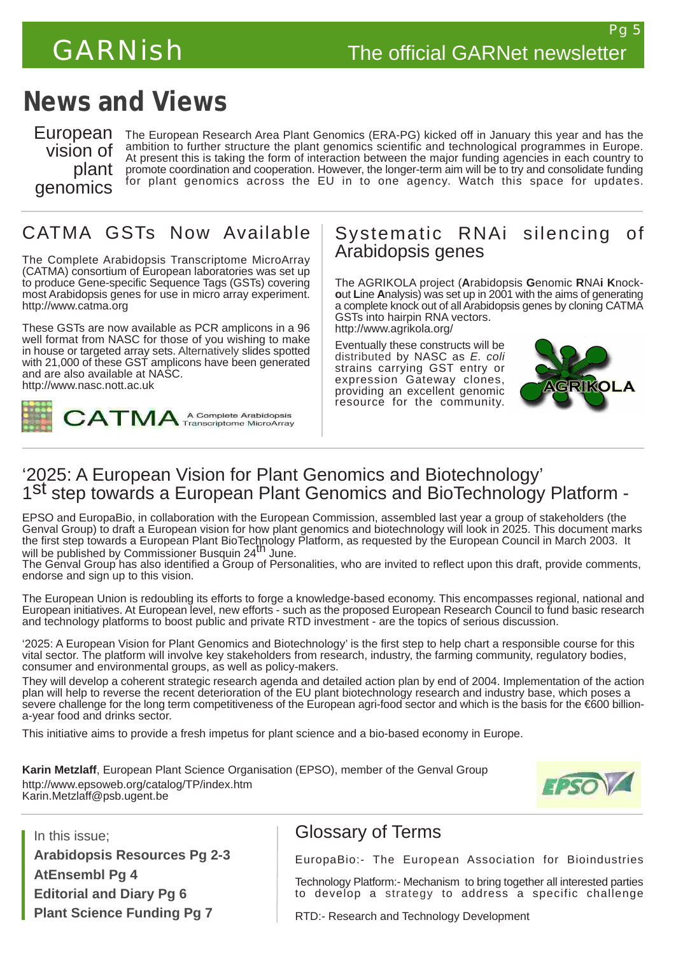# **News and Views**

European vision of plant genomics

The European Research Area Plant Genomics (ERA-PG) kicked off in January this year and has the ambition to further structure the plant genomics scientific and technological programmes in Europe. At present this is taking the form of interaction between the major funding agencies in each country to promote coordination and cooperation. However, the longer-term aim will be to try and consolidate funding for plant genomics across the EU in to one agency. Watch this space for updates.

# CATMA GSTs Now Available

The Complete Arabidopsis Transcriptome MicroArray (CATMA) consortium of European laboratories was set up to produce Gene-specific Sequence Tags (GSTs) covering most Arabidopsis genes for use in micro array experiment. <http://www.catma.org>

These GSTs are now available as PCR amplicons in a 96 well format from NASC for those of you wishing to make in house or targeted array sets. Alternatively slides spotted with 21,000 of these GST amplicons have been generated and are also available at NASC. <http://www.nasc.nott.ac.uk>



# Systematic RNAi silencing of Arabidopsis genes

The AGRIKOLA project (**A**rabidopsis **G**enomic **R**NA**i K**nock**o**ut **L**ine **A**nalysis) was set up in 2001 with the aims of generating a complete knock out of all Arabidopsis genes by cloning CATMA GSTs into hairpin RNA vectors.

<http://www.agrikola.org/>

Eventually these constructs will be distributed by NASC as *E. coli* strains carrying GST entry or expression Gateway clones, providing an excellent genomic resource for the community.



# '2025: A European Vision for Plant Genomics and Biotechnology' 1st step towards a European Plant Genomics and BioTechnology Platform -

EPSO and EuropaBio, in collaboration with the European Commission, assembled last year a group of stakeholders (the Genval Group) to draft a European vision for how plant genomics and biotechnology will look in 2025. This document marks the first step towards a European Plant BioTechnology Platform, as requested by the European Council in March 2003. It<br>will be published by Commissioner Busquin 24<sup>th</sup> June.

The Genval Group has also identified a Group of Personalities, who are invited to reflect upon this draft, provide comments, endorse and sign up to this vision.

The European Union is redoubling its efforts to forge a knowledge-based economy. This encompasses regional, national and European initiatives. At European level, new efforts - such as the proposed European Research Council to fund basic research and technology platforms to boost public and private RTD investment - are the topics of serious discussion.

'2025: A European Vision for Plant Genomics and Biotechnology' is the first step to help chart a responsible course for this vital sector. The platform will involve key stakeholders from research, industry, the farming community, regulatory bodies, consumer and environmental groups, as well as policy-makers.

They will develop a coherent strategic research agenda and detailed action plan by end of 2004. Implementation of the action plan will help to reverse the recent deterioration of the EU plant biotechnology research and industry base, which poses a severe challenge for the long term competitiveness of the European agri-food sector and which is the basis for the €600 billiona-year food and drinks sector.

This initiative aims to provide a fresh impetus for plant science and a bio-based economy in Europe.

**Karin Metzlaff**, European Plant Science Organisation (EPSO), member of the Genval Group <http://www.epsoweb.org/catalog/TP/index.htm> Karin.Metzlaff@psb.ugent.be



In this issue; **Arabidopsis Resources Pg 2-3 AtEnsembl Pg 4 Editorial and Diary Pg 6 Plant Science Funding Pg 7**

# Glossary of Terms

EuropaBio:- The European Association for Bioindustries

Technology Platform:- Mechanism to bring together all interested parties to develop a strategy to address a specific challenge

RTD:- Research and Technology Development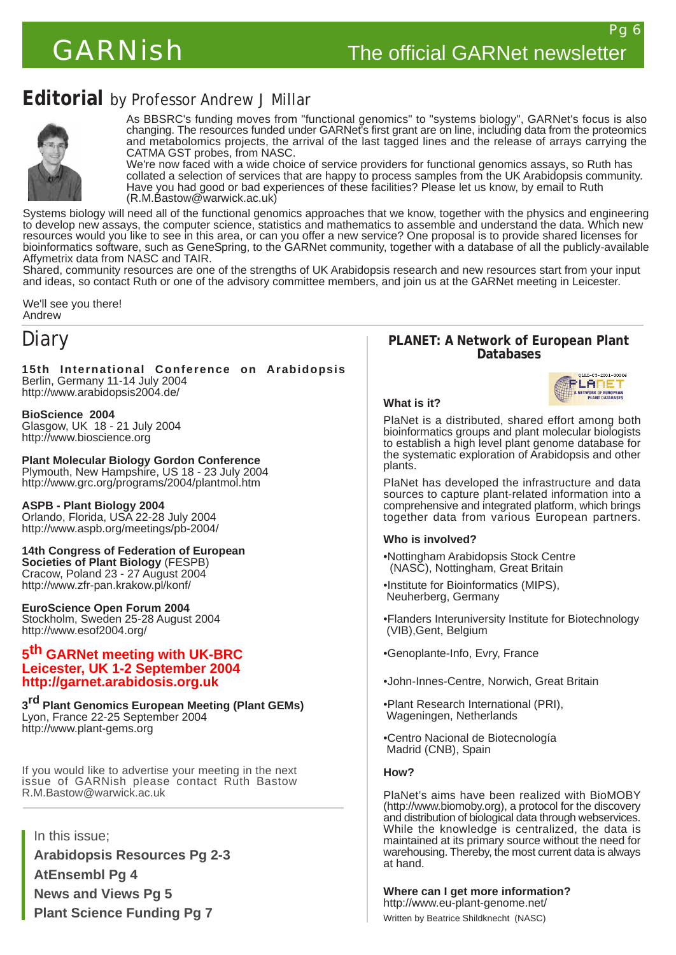# **Editorial** by Professor Andrew J Millar



As BBSRC's funding moves from "functional genomics" to "systems biology", GARNet's focus is also changing. The resources funded under GARNet's first grant are on line, including data from the proteomics and metabolomics projects, the arrival of the last tagged lines and the release of arrays carrying the CATMA GST probes, from NASC.

We're now faced with a wide choice of service providers for functional genomics assays, so Ruth has collated a selection of services that are happy to process samples from the UK Arabidopsis community. Have you had good or bad experiences of these facilities? Please let us know, by email to Ruth (R.M.Bastow@warwick.ac.uk)

Systems biology will need all of the functional genomics approaches that we know, together with the physics and engineering to develop new assays, the computer science, statistics and mathematics to assemble and understand the data. Which new resources would you like to see in this area, or can you offer a new service? One proposal is to provide shared licenses for bioinformatics software, such as GeneSpring, to the GARNet community, together with a database of all the publicly-available Affymetrix data from NASC and TAIR.

Shared, community resources are one of the strengths of UK Arabidopsis research and new resources start from your input and ideas, so contact Ruth or one of the advisory committee members, and join us at the GARNet meeting in Leicester.

We'll see you there! Andrew

# Diary

**15th International Conference on Arabidopsis** Berlin, Germany 11-14 July 2004 <http://www.arabidopsis2004.de/>

# **BioScience 2004**

Glasgow, UK 18 - 21 July 2004 <http://www.bioscience.org>

### **Plant Molecular Biology Gordon Conference**

Plymouth, New Hampshire, US 18 - 23 July 2004 <http://www.grc.org/programs/2004/plantmol.htm>

### **ASPB - Plant Biology 2004**

Orlando, Florida, USA 22-28 July 2004 <http://www.aspb.org/meetings/pb-2004/>

# **14th Congress of Federation of European**

**Societies of Plant Biology** (FESPB) Cracow, Poland 23 - 27 August 2004 <http://www.zfr-pan.krakow.pl/konf/>

### **EuroScience Open Forum 2004**

Stockholm, Sweden 25-28 August 2004 <http://www.esof2004.org/>

### **5 th GARNet meeting with UK-BRC Leicester, UK 1-2 September 2004 <http://garnet.arabidosis.org.uk>**

**3 rd Plant Genomics European Meeting (Plant GEMs)** Lyon, France 22-25 September 2004 <http://www.plant-gems.org>

If you would like to advertise your meeting in the next issue of GARNish please contact Ruth Bastow R.M.Bastow@warwick.ac.uk

In this issue;

**Arabidopsis Resources Pg 2-3 AtEnsembl Pg 4 News and Views Pg 5 Plant Science Funding Pg 7**

### **PLANET: A Network of European Plant Databases**



### **What is it?**

PlaNet is a distributed, shared effort among both bioinformatics groups and plant molecular biologists to establish a high level plant genome database for the systematic exploration of Arabidopsis and other plants.

PlaNet has developed the infrastructure and data sources to capture plant-related information into a comprehensive and integrated platform, which brings together data from various European partners.

### **Who is involved?**

- •Nottingham Arabidopsis Stock Centre (NASC), Nottingham, Great Britain
- •Institute for Bioinformatics (MIPS), Neuherberg, Germany
- •Flanders Interuniversity Institute for Biotechnology (VIB),Gent, Belgium
- •Genoplante-Info, Evry, France
- •John-Innes-Centre, Norwich, Great Britain
- •Plant Research International (PRI), Wageningen, Netherlands
- •Centro Nacional de Biotecnología Madrid (CNB), Spain

### **How?**

PlaNet's aims have been realized with BioMOBY [\(http://www.biomoby.org](http://www.biomoby.org)), a protocol for the discovery and distribution of biological data through webservices. While the knowledge is centralized, the data is maintained at its primary source without the need for warehousing. Thereby, the most current data is always at hand.

**Where can I get more information?** <http://www.eu-plant-genome.net/> Written by Beatrice Shildknecht (NASC)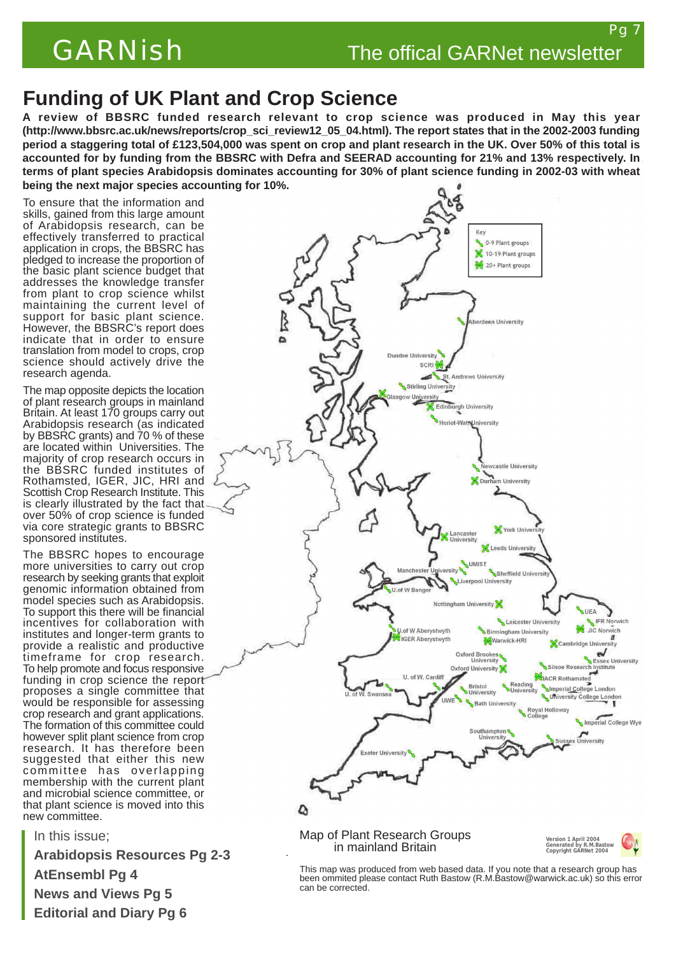# **Funding of UK Plant and Crop Science**

**A review of BBSRC funded research relevant to crop science was produced in May this year [\(http://www.bbsrc.ac.uk/news/reports/crop\\_sci\\_review12\\_05\\_04.htm](http://www.bbsrc.ac.uk/news/reports/crop_sci_review12_05_04.html)l). The report states that in the 2002-2003 funding period a staggering total of £123,504,000 was spent on crop and plant research in the UK. Over 50% of this total is accounted for by funding from the BBSRC with Defra and SEERAD accounting for 21% and 13% respectively. In terms of plant species Arabidopsis dominates accounting for 30% of plant science funding in 2002-03 with wheat being the next major species accounting for 10%.**

To ensure that the information and skills, gained from this large amount of Arabidopsis research, can be effectively transferred to practical application in crops, the BBSRC has pledged to increase the proportion of the basic plant science budget that addresses the knowledge transfer from plant to crop science whilst maintaining the current level of support for basic plant science. However, the BBSRC's report does indicate that in order to ensure translation from model to crops, crop science should actively drive the research agenda.

The map opposite depicts the location of plant research groups in mainland Britain. At least 170 groups carry out Arabidopsis research (as indicated by BBSRC grants) and 70 % of these are located within Universities. The majority of crop research occurs in the BBSRC funded institutes of Rothamsted, IGER, JIC, HRI and Scottish Crop Research Institute. This is clearly illustrated by the fact that over 50% of crop science is funded via core strategic grants to BBSRC sponsored institutes.

The BBSRC hopes to encourage more universities to carry out crop research by seeking grants that exploit genomic information obtained from model species such as Arabidopsis. To support this there will be financial incentives for collaboration with institutes and longer-term grants to provide a realistic and productive timeframe for crop research. To help promote and focus responsive funding in crop science the report proposes a single committee that would be responsible for assessing crop research and grant applications. The formation of this committee could however split plant science from crop research. It has therefore been suggested that either this new committee has overlapping membership with the current plant and microbial science committee, or that plant science is moved into this new committee.

In this issue; **Arabidopsis Resources Pg 2-3 AtEnsembl Pg 4 News and Views Pg 5 Editorial and Diary Pg 6**



This map was produced from web based data. If you note that a research group has been ommited please contact Ruth Bastow (R.M.Bastow@warwick.ac.uk) so this error can be corrected.